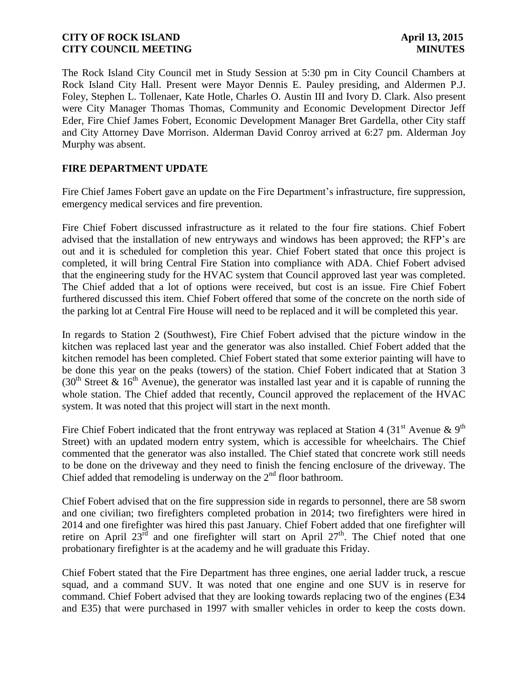The Rock Island City Council met in Study Session at 5:30 pm in City Council Chambers at Rock Island City Hall. Present were Mayor Dennis E. Pauley presiding, and Aldermen P.J. Foley, Stephen L. Tollenaer, Kate Hotle, Charles O. Austin III and Ivory D. Clark. Also present were City Manager Thomas Thomas, Community and Economic Development Director Jeff Eder, Fire Chief James Fobert, Economic Development Manager Bret Gardella, other City staff and City Attorney Dave Morrison. Alderman David Conroy arrived at 6:27 pm. Alderman Joy Murphy was absent.

### **FIRE DEPARTMENT UPDATE**

Fire Chief James Fobert gave an update on the Fire Department's infrastructure, fire suppression, emergency medical services and fire prevention.

Fire Chief Fobert discussed infrastructure as it related to the four fire stations. Chief Fobert advised that the installation of new entryways and windows has been approved; the RFP's are out and it is scheduled for completion this year. Chief Fobert stated that once this project is completed, it will bring Central Fire Station into compliance with ADA. Chief Fobert advised that the engineering study for the HVAC system that Council approved last year was completed. The Chief added that a lot of options were received, but cost is an issue. Fire Chief Fobert furthered discussed this item. Chief Fobert offered that some of the concrete on the north side of the parking lot at Central Fire House will need to be replaced and it will be completed this year.

In regards to Station 2 (Southwest), Fire Chief Fobert advised that the picture window in the kitchen was replaced last year and the generator was also installed. Chief Fobert added that the kitchen remodel has been completed. Chief Fobert stated that some exterior painting will have to be done this year on the peaks (towers) of the station. Chief Fobert indicated that at Station 3 (30<sup>th</sup> Street & 16<sup>th</sup> Avenue), the generator was installed last year and it is capable of running the whole station. The Chief added that recently, Council approved the replacement of the HVAC system. It was noted that this project will start in the next month.

Fire Chief Fobert indicated that the front entryway was replaced at Station 4 (31<sup>st</sup> Avenue & 9<sup>th</sup>) Street) with an updated modern entry system, which is accessible for wheelchairs. The Chief commented that the generator was also installed. The Chief stated that concrete work still needs to be done on the driveway and they need to finish the fencing enclosure of the driveway. The Chief added that remodeling is underway on the  $2<sup>nd</sup>$  floor bathroom.

Chief Fobert advised that on the fire suppression side in regards to personnel, there are 58 sworn and one civilian; two firefighters completed probation in 2014; two firefighters were hired in 2014 and one firefighter was hired this past January. Chief Fobert added that one firefighter will retire on April  $23^{\overline{rd}}$  and one firefighter will start on April  $27<sup>th</sup>$ . The Chief noted that one probationary firefighter is at the academy and he will graduate this Friday.

Chief Fobert stated that the Fire Department has three engines, one aerial ladder truck, a rescue squad, and a command SUV. It was noted that one engine and one SUV is in reserve for command. Chief Fobert advised that they are looking towards replacing two of the engines (E34 and E35) that were purchased in 1997 with smaller vehicles in order to keep the costs down.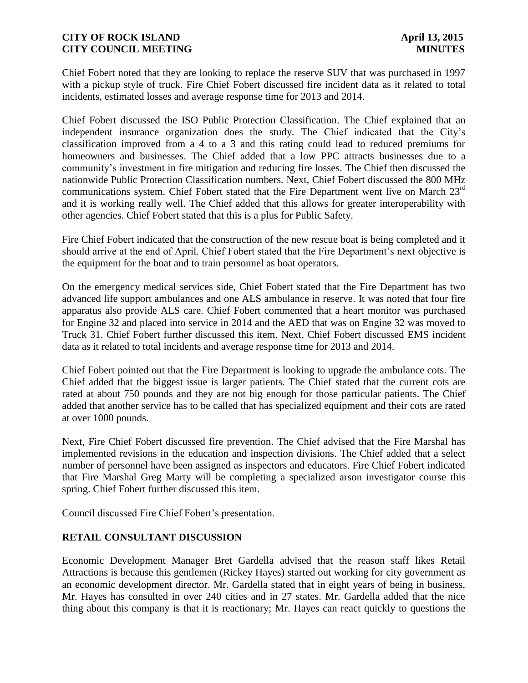Chief Fobert noted that they are looking to replace the reserve SUV that was purchased in 1997 with a pickup style of truck. Fire Chief Fobert discussed fire incident data as it related to total incidents, estimated losses and average response time for 2013 and 2014.

Chief Fobert discussed the ISO Public Protection Classification. The Chief explained that an independent insurance organization does the study. The Chief indicated that the City's classification improved from a 4 to a 3 and this rating could lead to reduced premiums for homeowners and businesses. The Chief added that a low PPC attracts businesses due to a community's investment in fire mitigation and reducing fire losses. The Chief then discussed the nationwide Public Protection Classification numbers. Next, Chief Fobert discussed the 800 MHz communications system. Chief Fobert stated that the Fire Department went live on March 23<sup>rd</sup> and it is working really well. The Chief added that this allows for greater interoperability with other agencies. Chief Fobert stated that this is a plus for Public Safety.

Fire Chief Fobert indicated that the construction of the new rescue boat is being completed and it should arrive at the end of April. Chief Fobert stated that the Fire Department's next objective is the equipment for the boat and to train personnel as boat operators.

On the emergency medical services side, Chief Fobert stated that the Fire Department has two advanced life support ambulances and one ALS ambulance in reserve. It was noted that four fire apparatus also provide ALS care. Chief Fobert commented that a heart monitor was purchased for Engine 32 and placed into service in 2014 and the AED that was on Engine 32 was moved to Truck 31. Chief Fobert further discussed this item. Next, Chief Fobert discussed EMS incident data as it related to total incidents and average response time for 2013 and 2014.

Chief Fobert pointed out that the Fire Department is looking to upgrade the ambulance cots. The Chief added that the biggest issue is larger patients. The Chief stated that the current cots are rated at about 750 pounds and they are not big enough for those particular patients. The Chief added that another service has to be called that has specialized equipment and their cots are rated at over 1000 pounds.

Next, Fire Chief Fobert discussed fire prevention. The Chief advised that the Fire Marshal has implemented revisions in the education and inspection divisions. The Chief added that a select number of personnel have been assigned as inspectors and educators. Fire Chief Fobert indicated that Fire Marshal Greg Marty will be completing a specialized arson investigator course this spring. Chief Fobert further discussed this item.

Council discussed Fire Chief Fobert's presentation.

# **RETAIL CONSULTANT DISCUSSION**

Economic Development Manager Bret Gardella advised that the reason staff likes Retail Attractions is because this gentlemen (Rickey Hayes) started out working for city government as an economic development director. Mr. Gardella stated that in eight years of being in business, Mr. Hayes has consulted in over 240 cities and in 27 states. Mr. Gardella added that the nice thing about this company is that it is reactionary; Mr. Hayes can react quickly to questions the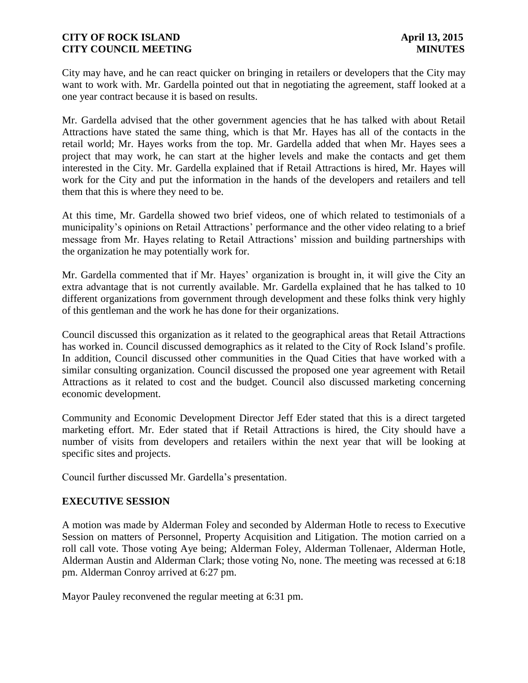City may have, and he can react quicker on bringing in retailers or developers that the City may want to work with. Mr. Gardella pointed out that in negotiating the agreement, staff looked at a one year contract because it is based on results.

Mr. Gardella advised that the other government agencies that he has talked with about Retail Attractions have stated the same thing, which is that Mr. Hayes has all of the contacts in the retail world; Mr. Hayes works from the top. Mr. Gardella added that when Mr. Hayes sees a project that may work, he can start at the higher levels and make the contacts and get them interested in the City. Mr. Gardella explained that if Retail Attractions is hired, Mr. Hayes will work for the City and put the information in the hands of the developers and retailers and tell them that this is where they need to be.

At this time, Mr. Gardella showed two brief videos, one of which related to testimonials of a municipality's opinions on Retail Attractions' performance and the other video relating to a brief message from Mr. Hayes relating to Retail Attractions' mission and building partnerships with the organization he may potentially work for.

Mr. Gardella commented that if Mr. Hayes' organization is brought in, it will give the City an extra advantage that is not currently available. Mr. Gardella explained that he has talked to 10 different organizations from government through development and these folks think very highly of this gentleman and the work he has done for their organizations.

Council discussed this organization as it related to the geographical areas that Retail Attractions has worked in. Council discussed demographics as it related to the City of Rock Island's profile. In addition, Council discussed other communities in the Quad Cities that have worked with a similar consulting organization. Council discussed the proposed one year agreement with Retail Attractions as it related to cost and the budget. Council also discussed marketing concerning economic development.

Community and Economic Development Director Jeff Eder stated that this is a direct targeted marketing effort. Mr. Eder stated that if Retail Attractions is hired, the City should have a number of visits from developers and retailers within the next year that will be looking at specific sites and projects.

Council further discussed Mr. Gardella's presentation.

### **EXECUTIVE SESSION**

A motion was made by Alderman Foley and seconded by Alderman Hotle to recess to Executive Session on matters of Personnel, Property Acquisition and Litigation. The motion carried on a roll call vote. Those voting Aye being; Alderman Foley, Alderman Tollenaer, Alderman Hotle, Alderman Austin and Alderman Clark; those voting No, none. The meeting was recessed at 6:18 pm. Alderman Conroy arrived at 6:27 pm.

Mayor Pauley reconvened the regular meeting at 6:31 pm.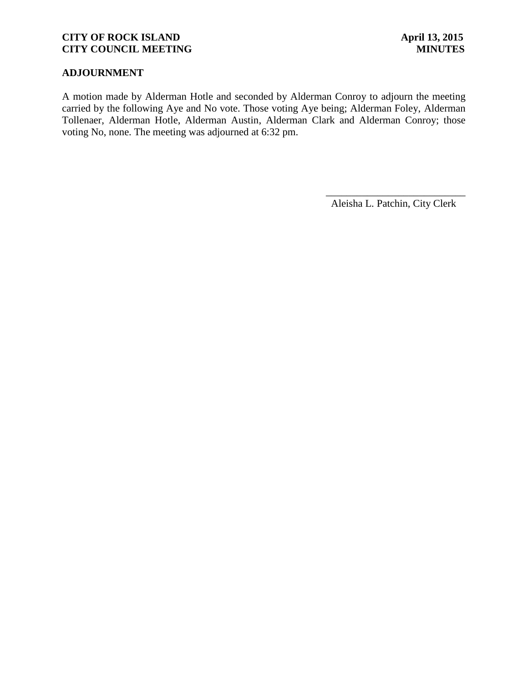# **ADJOURNMENT**

A motion made by Alderman Hotle and seconded by Alderman Conroy to adjourn the meeting carried by the following Aye and No vote. Those voting Aye being; Alderman Foley, Alderman Tollenaer, Alderman Hotle, Alderman Austin, Alderman Clark and Alderman Conroy; those voting No, none. The meeting was adjourned at 6:32 pm.

Aleisha L. Patchin, City Clerk

 $\frac{1}{2}$  ,  $\frac{1}{2}$  ,  $\frac{1}{2}$  ,  $\frac{1}{2}$  ,  $\frac{1}{2}$  ,  $\frac{1}{2}$  ,  $\frac{1}{2}$  ,  $\frac{1}{2}$  ,  $\frac{1}{2}$  ,  $\frac{1}{2}$  ,  $\frac{1}{2}$  ,  $\frac{1}{2}$  ,  $\frac{1}{2}$  ,  $\frac{1}{2}$  ,  $\frac{1}{2}$  ,  $\frac{1}{2}$  ,  $\frac{1}{2}$  ,  $\frac{1}{2}$  ,  $\frac{1$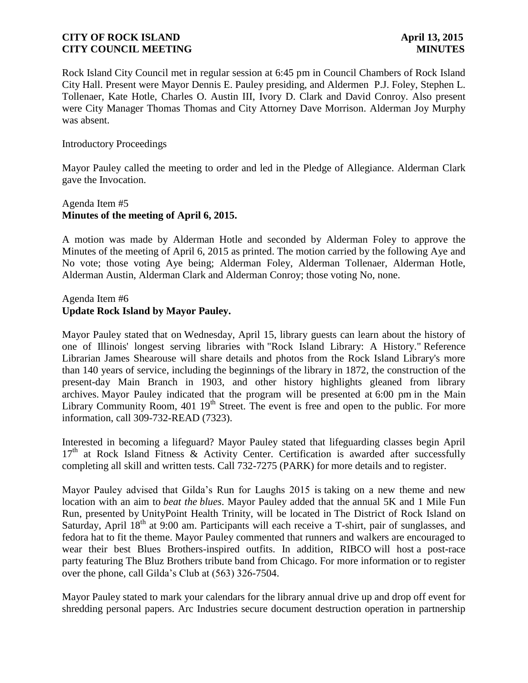Rock Island City Council met in regular session at 6:45 pm in Council Chambers of Rock Island City Hall. Present were Mayor Dennis E. Pauley presiding, and Aldermen P.J. Foley, Stephen L. Tollenaer, Kate Hotle, Charles O. Austin III, Ivory D. Clark and David Conroy. Also present were City Manager Thomas Thomas and City Attorney Dave Morrison. Alderman Joy Murphy was absent.

### Introductory Proceedings

Mayor Pauley called the meeting to order and led in the Pledge of Allegiance. Alderman Clark gave the Invocation.

### Agenda Item #5 **Minutes of the meeting of April 6, 2015.**

A motion was made by Alderman Hotle and seconded by Alderman Foley to approve the Minutes of the meeting of April 6, 2015 as printed. The motion carried by the following Aye and No vote; those voting Aye being; Alderman Foley, Alderman Tollenaer, Alderman Hotle, Alderman Austin, Alderman Clark and Alderman Conroy; those voting No, none.

### Agenda Item #6 **Update Rock Island by Mayor Pauley.**

Mayor Pauley stated that on Wednesday, April 15, library guests can learn about the history of one of Illinois' longest serving libraries with "Rock Island Library: A History." Reference Librarian James Shearouse will share details and photos from the Rock Island Library's more than 140 years of service, including the beginnings of the library in 1872, the construction of the present-day Main Branch in 1903, and other history highlights gleaned from library archives. Mayor Pauley indicated that the program will be presented at 6:00 pm in the Main Library Community Room,  $401 \, 19^{th}$  Street. The event is free and open to the public. For more information, call 309-732-READ (7323).

Interested in becoming a lifeguard? Mayor Pauley stated that lifeguarding classes begin April  $17<sup>th</sup>$  at Rock Island Fitness & Activity Center. Certification is awarded after successfully completing all skill and written tests. Call 732-7275 (PARK) for more details and to register.

Mayor Pauley advised that Gilda's Run for Laughs 2015 is taking on a new theme and new location with an aim to *beat the blues*. Mayor Pauley added that the annual 5K and 1 Mile Fun Run, presented by UnityPoint Health Trinity, will be located in The District of Rock Island on Saturday, April  $18<sup>th</sup>$  at 9:00 am. Participants will each receive a T-shirt, pair of sunglasses, and fedora hat to fit the theme. Mayor Pauley commented that runners and walkers are encouraged to wear their best Blues Brothers-inspired outfits. In addition, RIBCO will host a post-race party featuring The Bluz Brothers tribute band from Chicago. For more information or to register over the phone, call Gilda's Club at (563) 326-7504.

Mayor Pauley stated to mark your calendars for the library annual drive up and drop off event for shredding personal papers. Arc Industries secure document destruction operation in partnership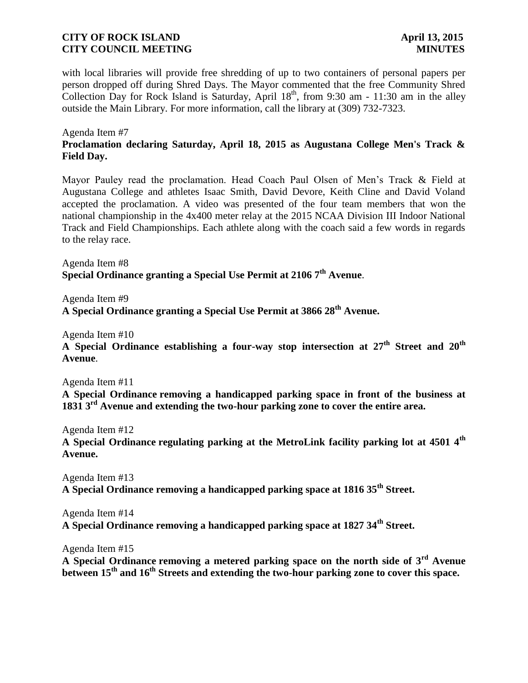with local libraries will provide free shredding of up to two containers of personal papers per person dropped off during Shred Days. The Mayor commented that the free Community Shred Collection Day for Rock Island is Saturday, April  $18<sup>th</sup>$ , from 9:30 am - 11:30 am in the alley outside the Main Library. For more information, call the library at (309) 732-7323.

Agenda Item #7

# **Proclamation declaring Saturday, April 18, 2015 as Augustana College Men's Track & Field Day.**

Mayor Pauley read the proclamation. Head Coach Paul Olsen of Men's Track & Field at Augustana College and athletes Isaac Smith, David Devore, Keith Cline and David Voland accepted the proclamation. A video was presented of the four team members that won the national championship in the 4x400 meter relay at the 2015 NCAA Division III Indoor National Track and Field Championships. Each athlete along with the coach said a few words in regards to the relay race.

Agenda Item #8 **Special Ordinance granting a Special Use Permit at 2106 7th Avenue**.

Agenda Item #9 **A Special Ordinance granting a Special Use Permit at 3866 28th Avenue.** 

Agenda Item #10

**A Special Ordinance establishing a four-way stop intersection at 27th Street and 20th Avenue**.

Agenda Item #11

**A Special Ordinance removing a handicapped parking space in front of the business at 1831 3rd Avenue and extending the two-hour parking zone to cover the entire area.**

Agenda Item #12

**A Special Ordinance regulating parking at the MetroLink facility parking lot at 4501 4th Avenue.**

Agenda Item #13 **A Special Ordinance removing a handicapped parking space at 1816 35th Street.**

Agenda Item #14 **A Special Ordinance removing a handicapped parking space at 1827 34th Street.**

Agenda Item #15

**A Special Ordinance removing a metered parking space on the north side of 3rd Avenue between 15th and 16th Streets and extending the two-hour parking zone to cover this space.**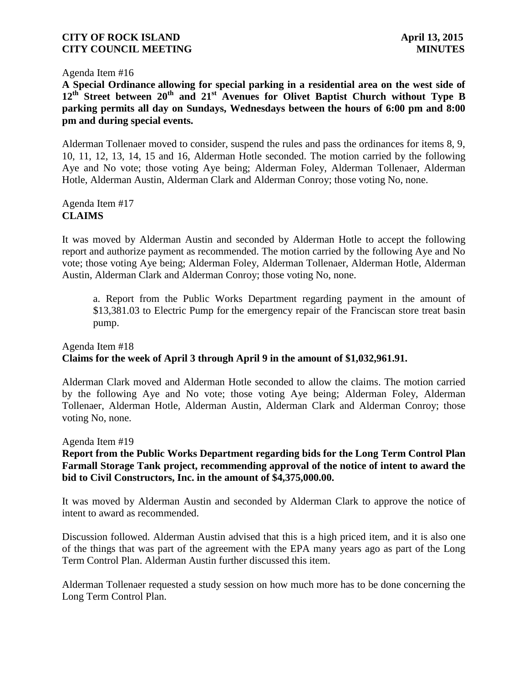Agenda Item #16

**A Special Ordinance allowing for special parking in a residential area on the west side of 12th Street between 20th and 21st Avenues for Olivet Baptist Church without Type B parking permits all day on Sundays, Wednesdays between the hours of 6:00 pm and 8:00 pm and during special events.**

Alderman Tollenaer moved to consider, suspend the rules and pass the ordinances for items 8, 9, 10, 11, 12, 13, 14, 15 and 16, Alderman Hotle seconded. The motion carried by the following Aye and No vote; those voting Aye being; Alderman Foley, Alderman Tollenaer, Alderman Hotle, Alderman Austin, Alderman Clark and Alderman Conroy; those voting No, none.

Agenda Item #17 **CLAIMS**

It was moved by Alderman Austin and seconded by Alderman Hotle to accept the following report and authorize payment as recommended. The motion carried by the following Aye and No vote; those voting Aye being; Alderman Foley, Alderman Tollenaer, Alderman Hotle, Alderman Austin, Alderman Clark and Alderman Conroy; those voting No, none.

a. Report from the Public Works Department regarding payment in the amount of \$13,381.03 to Electric Pump for the emergency repair of the Franciscan store treat basin pump.

# Agenda Item #18 **Claims for the week of April 3 through April 9 in the amount of \$1,032,961.91.**

Alderman Clark moved and Alderman Hotle seconded to allow the claims. The motion carried by the following Aye and No vote; those voting Aye being; Alderman Foley, Alderman Tollenaer, Alderman Hotle, Alderman Austin, Alderman Clark and Alderman Conroy; those voting No, none.

Agenda Item #19

### **Report from the Public Works Department regarding bids for the Long Term Control Plan Farmall Storage Tank project, recommending approval of the notice of intent to award the bid to Civil Constructors, Inc. in the amount of \$4,375,000.00.**

It was moved by Alderman Austin and seconded by Alderman Clark to approve the notice of intent to award as recommended.

Discussion followed. Alderman Austin advised that this is a high priced item, and it is also one of the things that was part of the agreement with the EPA many years ago as part of the Long Term Control Plan. Alderman Austin further discussed this item.

Alderman Tollenaer requested a study session on how much more has to be done concerning the Long Term Control Plan.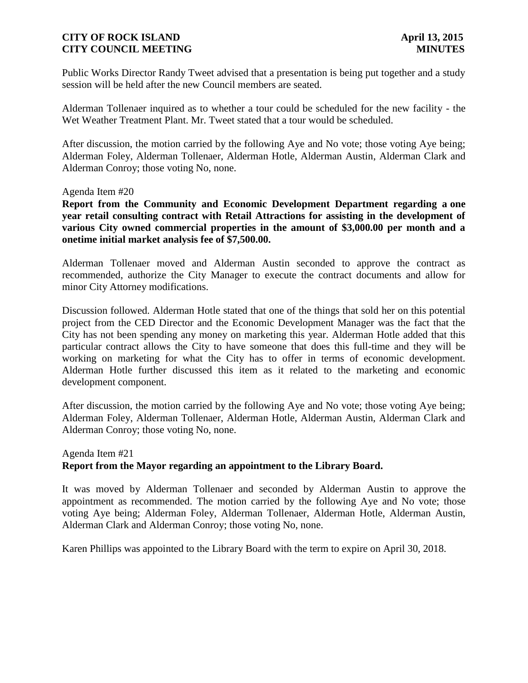Public Works Director Randy Tweet advised that a presentation is being put together and a study session will be held after the new Council members are seated.

Alderman Tollenaer inquired as to whether a tour could be scheduled for the new facility - the Wet Weather Treatment Plant. Mr. Tweet stated that a tour would be scheduled.

After discussion, the motion carried by the following Aye and No vote; those voting Aye being; Alderman Foley, Alderman Tollenaer, Alderman Hotle, Alderman Austin, Alderman Clark and Alderman Conroy; those voting No, none.

#### Agenda Item #20

**Report from the Community and Economic Development Department regarding a one year retail consulting contract with Retail Attractions for assisting in the development of various City owned commercial properties in the amount of \$3,000.00 per month and a onetime initial market analysis fee of \$7,500.00.** 

Alderman Tollenaer moved and Alderman Austin seconded to approve the contract as recommended, authorize the City Manager to execute the contract documents and allow for minor City Attorney modifications.

Discussion followed. Alderman Hotle stated that one of the things that sold her on this potential project from the CED Director and the Economic Development Manager was the fact that the City has not been spending any money on marketing this year. Alderman Hotle added that this particular contract allows the City to have someone that does this full-time and they will be working on marketing for what the City has to offer in terms of economic development. Alderman Hotle further discussed this item as it related to the marketing and economic development component.

After discussion, the motion carried by the following Aye and No vote; those voting Aye being; Alderman Foley, Alderman Tollenaer, Alderman Hotle, Alderman Austin, Alderman Clark and Alderman Conroy; those voting No, none.

## Agenda Item #21 **Report from the Mayor regarding an appointment to the Library Board.**

It was moved by Alderman Tollenaer and seconded by Alderman Austin to approve the appointment as recommended. The motion carried by the following Aye and No vote; those voting Aye being; Alderman Foley, Alderman Tollenaer, Alderman Hotle, Alderman Austin, Alderman Clark and Alderman Conroy; those voting No, none.

Karen Phillips was appointed to the Library Board with the term to expire on April 30, 2018.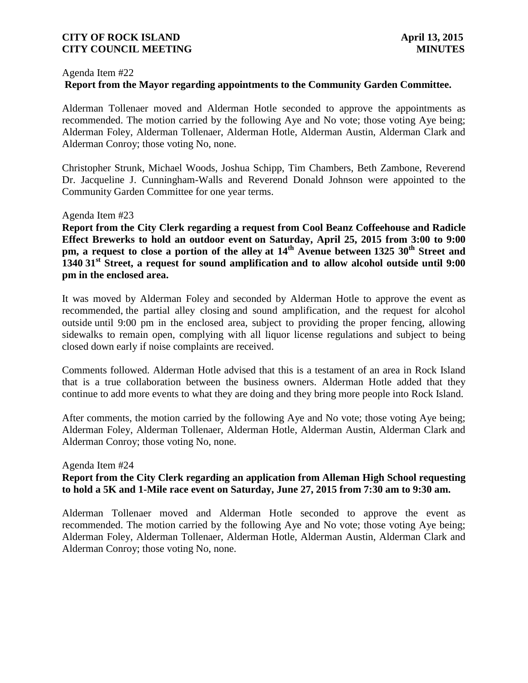#### Agenda Item #22

### **Report from the Mayor regarding appointments to the Community Garden Committee.**

Alderman Tollenaer moved and Alderman Hotle seconded to approve the appointments as recommended. The motion carried by the following Aye and No vote; those voting Aye being; Alderman Foley, Alderman Tollenaer, Alderman Hotle, Alderman Austin, Alderman Clark and Alderman Conroy; those voting No, none.

Christopher Strunk, Michael Woods, Joshua Schipp, Tim Chambers, Beth Zambone, Reverend Dr. Jacqueline J. Cunningham-Walls and Reverend Donald Johnson were appointed to the Community Garden Committee for one year terms.

Agenda Item #23

**Report from the City Clerk regarding a request from Cool Beanz Coffeehouse and Radicle Effect Brewerks to hold an outdoor event on Saturday, April 25, 2015 from 3:00 to 9:00 pm, a request to close a portion of the alley at 14th Avenue between 1325 30th Street and 1340 31st Street, a request for sound amplification and to allow alcohol outside until 9:00 pm in the enclosed area.**

It was moved by Alderman Foley and seconded by Alderman Hotle to approve the event as recommended, the partial alley closing and sound amplification, and the request for alcohol outside until 9:00 pm in the enclosed area, subject to providing the proper fencing, allowing sidewalks to remain open, complying with all liquor license regulations and subject to being closed down early if noise complaints are received.

Comments followed. Alderman Hotle advised that this is a testament of an area in Rock Island that is a true collaboration between the business owners. Alderman Hotle added that they continue to add more events to what they are doing and they bring more people into Rock Island.

After comments, the motion carried by the following Aye and No vote; those voting Aye being; Alderman Foley, Alderman Tollenaer, Alderman Hotle, Alderman Austin, Alderman Clark and Alderman Conroy; those voting No, none.

#### Agenda Item #24

## **Report from the City Clerk regarding an application from Alleman High School requesting to hold a 5K and 1-Mile race event on Saturday, June 27, 2015 from 7:30 am to 9:30 am.**

Alderman Tollenaer moved and Alderman Hotle seconded to approve the event as recommended. The motion carried by the following Aye and No vote; those voting Aye being; Alderman Foley, Alderman Tollenaer, Alderman Hotle, Alderman Austin, Alderman Clark and Alderman Conroy; those voting No, none.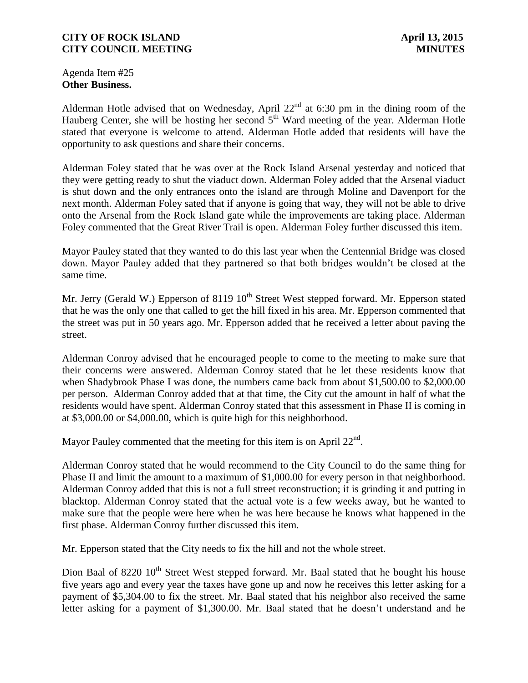Agenda Item #25 **Other Business.**

Alderman Hotle advised that on Wednesday, April  $22<sup>nd</sup>$  at 6:30 pm in the dining room of the Hauberg Center, she will be hosting her second  $5<sup>th</sup>$  Ward meeting of the year. Alderman Hotle stated that everyone is welcome to attend. Alderman Hotle added that residents will have the opportunity to ask questions and share their concerns.

Alderman Foley stated that he was over at the Rock Island Arsenal yesterday and noticed that they were getting ready to shut the viaduct down. Alderman Foley added that the Arsenal viaduct is shut down and the only entrances onto the island are through Moline and Davenport for the next month. Alderman Foley sated that if anyone is going that way, they will not be able to drive onto the Arsenal from the Rock Island gate while the improvements are taking place. Alderman Foley commented that the Great River Trail is open. Alderman Foley further discussed this item.

Mayor Pauley stated that they wanted to do this last year when the Centennial Bridge was closed down. Mayor Pauley added that they partnered so that both bridges wouldn't be closed at the same time.

Mr. Jerry (Gerald W.) Epperson of 8119  $10^{th}$  Street West stepped forward. Mr. Epperson stated that he was the only one that called to get the hill fixed in his area. Mr. Epperson commented that the street was put in 50 years ago. Mr. Epperson added that he received a letter about paving the street.

Alderman Conroy advised that he encouraged people to come to the meeting to make sure that their concerns were answered. Alderman Conroy stated that he let these residents know that when Shadybrook Phase I was done, the numbers came back from about \$1,500.00 to \$2,000.00 per person. Alderman Conroy added that at that time, the City cut the amount in half of what the residents would have spent. Alderman Conroy stated that this assessment in Phase II is coming in at \$3,000.00 or \$4,000.00, which is quite high for this neighborhood.

Mayor Pauley commented that the meeting for this item is on April  $22<sup>nd</sup>$ .

Alderman Conroy stated that he would recommend to the City Council to do the same thing for Phase II and limit the amount to a maximum of \$1,000.00 for every person in that neighborhood. Alderman Conroy added that this is not a full street reconstruction; it is grinding it and putting in blacktop. Alderman Conroy stated that the actual vote is a few weeks away, but he wanted to make sure that the people were here when he was here because he knows what happened in the first phase. Alderman Conroy further discussed this item.

Mr. Epperson stated that the City needs to fix the hill and not the whole street.

Dion Baal of 8220 10<sup>th</sup> Street West stepped forward. Mr. Baal stated that he bought his house five years ago and every year the taxes have gone up and now he receives this letter asking for a payment of \$5,304.00 to fix the street. Mr. Baal stated that his neighbor also received the same letter asking for a payment of \$1,300.00. Mr. Baal stated that he doesn't understand and he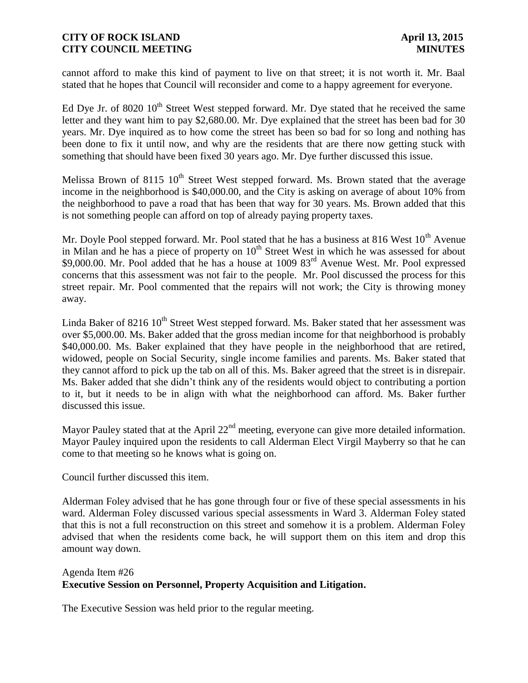cannot afford to make this kind of payment to live on that street; it is not worth it. Mr. Baal stated that he hopes that Council will reconsider and come to a happy agreement for everyone.

Ed Dye Jr. of 8020  $10^{th}$  Street West stepped forward. Mr. Dye stated that he received the same letter and they want him to pay \$2,680.00. Mr. Dye explained that the street has been bad for 30 years. Mr. Dye inquired as to how come the street has been so bad for so long and nothing has been done to fix it until now, and why are the residents that are there now getting stuck with something that should have been fixed 30 years ago. Mr. Dye further discussed this issue.

Melissa Brown of 8115  $10^{th}$  Street West stepped forward. Ms. Brown stated that the average income in the neighborhood is \$40,000.00, and the City is asking on average of about 10% from the neighborhood to pave a road that has been that way for 30 years. Ms. Brown added that this is not something people can afford on top of already paying property taxes.

Mr. Doyle Pool stepped forward. Mr. Pool stated that he has a business at 816 West  $10<sup>th</sup>$  Avenue in Milan and he has a piece of property on  $10<sup>th</sup>$  Street West in which he was assessed for about \$9,000.00. Mr. Pool added that he has a house at 1009 83<sup>rd</sup> Avenue West. Mr. Pool expressed concerns that this assessment was not fair to the people. Mr. Pool discussed the process for this street repair. Mr. Pool commented that the repairs will not work; the City is throwing money away.

Linda Baker of 8216  $10^{th}$  Street West stepped forward. Ms. Baker stated that her assessment was over \$5,000.00. Ms. Baker added that the gross median income for that neighborhood is probably \$40,000.00. Ms. Baker explained that they have people in the neighborhood that are retired, widowed, people on Social Security, single income families and parents. Ms. Baker stated that they cannot afford to pick up the tab on all of this. Ms. Baker agreed that the street is in disrepair. Ms. Baker added that she didn't think any of the residents would object to contributing a portion to it, but it needs to be in align with what the neighborhood can afford. Ms. Baker further discussed this issue.

Mayor Pauley stated that at the April  $22<sup>nd</sup>$  meeting, everyone can give more detailed information. Mayor Pauley inquired upon the residents to call Alderman Elect Virgil Mayberry so that he can come to that meeting so he knows what is going on.

Council further discussed this item.

Alderman Foley advised that he has gone through four or five of these special assessments in his ward. Alderman Foley discussed various special assessments in Ward 3. Alderman Foley stated that this is not a full reconstruction on this street and somehow it is a problem. Alderman Foley advised that when the residents come back, he will support them on this item and drop this amount way down.

#### Agenda Item #26 **Executive Session on Personnel, Property Acquisition and Litigation.**

The Executive Session was held prior to the regular meeting.